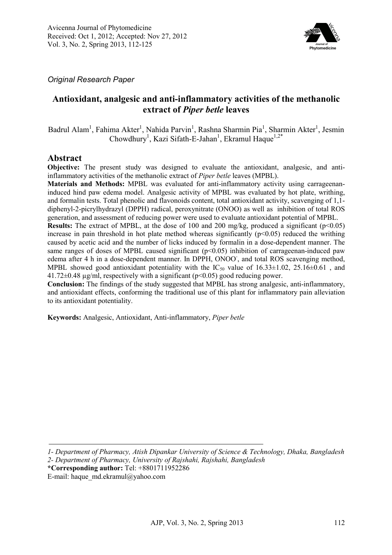

*Original Research Paper* 

# **Antioxidant, analgesic and anti-inflammatory activities of the methanolic extract of** *Piper betle* **leaves**

Badrul Alam<sup>1</sup>, Fahima Akter<sup>1</sup>, Nahida Parvin<sup>1</sup>, Rashna Sharmin Pia<sup>1</sup>, Sharmin Akter<sup>1</sup>, Jesmin Chowdhury<sup>1</sup>, Kazi Sifath-E-Jahan<sup>1</sup>, Ekramul Haque<sup>1,2\*</sup>

## **Abstract**

**Objective:** The present study was designed to evaluate the antioxidant, analgesic, and antiinflammatory activities of the methanolic extract of *Piper betle* leaves (MPBL).

**Materials and Methods:** MPBL was evaluated for anti-inflammatory activity using carrageenaninduced hind paw edema model. Analgesic activity of MPBL was evaluated by hot plate, writhing, and formalin tests. Total phenolic and flavonoids content, total antioxidant activity, scavenging of 1,1 diphenyl-2-picrylhydrazyl (DPPH) radical, peroxynitrate (ONOO) as well as inhibition of total ROS generation, and assessment of reducing power were used to evaluate antioxidant potential of MPBL.

**Results:** The extract of MPBL, at the dose of 100 and 200 mg/kg, produced a significant (p<0.05) increase in pain threshold in hot plate method whereas significantly  $(p<0.05)$  reduced the writhing caused by acetic acid and the number of licks induced by formalin in a dose-dependent manner. The same ranges of doses of MPBL caused significant  $(p<0.05)$  inhibition of carrageenan-induced paw edema after 4 h in a dose-dependent manner. In DPPH, ONOO<sup>-</sup>, and total ROS scavenging method, MPBL showed good antioxidant potentiality with the  $IC_{50}$  value of  $16.33 \pm 1.02$ ,  $25.16 \pm 0.61$ , and  $41.72\pm0.48$  µg/ml, respectively with a significant (p<0.05) good reducing power.

**Conclusion:** The findings of the study suggested that MPBL has strong analgesic, anti-inflammatory, and antioxidant effects, conforming the traditional use of this plant for inflammatory pain alleviation to its antioxidant potentiality.

**Keywords:** Analgesic, Antioxidant, Anti-inflammatory, *Piper betle*

*<sup>1-</sup> Department of Pharmacy, Atish Dipankar University of Science & Technology, Dhaka, Bangladesh 2- Department of Pharmacy, University of Rajshahi, Rajshahi, Bangladesh* 

**<sup>\*</sup>Corresponding author:** Tel: +8801711952286

E-mail: haque\_md.ekramul@yahoo.com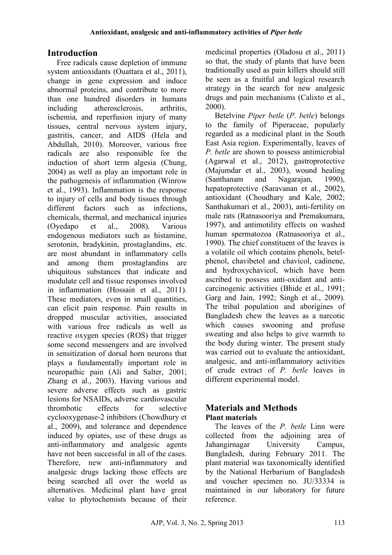# **Introduction**

Free radicals cause depletion of immune system antioxidants (Ouattara et al., 2011), change in gene expression and induce abnormal proteins, and contribute to more than one hundred disorders in humans including atherosclerosis, arthritis, ischemia, and reperfusion injury of many tissues, central nervous system injury, gastritis, cancer, and AIDS (Hela and Abdullah, 2010). Moreover, various free radicals are also responsible for the induction of short term algesia (Chung, 2004) as well as play an important role in the pathogenesis of inflammation (Winrow et al., 1993). Inflammation is the response to injury of cells and body tissues through<br>different factors such as infections different factors such as infections chemicals, thermal, and mechanical injuries (Oyedapo et al., 2008). Various endogenous mediators such as histamine, serotonin, bradykinin, prostaglandins, etc. are most abundant in inflammatory cells and among them prostaglandins are ubiquitous substances that indicate and modulate cell and tissue responses involved in inflammation (Hossain et al., 2011). These mediators, even in small quantities, can elicit pain response. Pain results in dropped muscular activities, associated with various free radicals as well as reactive oxygen species (ROS) that trigger some second messengers and are involved in sensitization of dorsal horn neurons that plays a fundamentally important role in neuropathic pain (Ali and Salter, 2001; Zhang et al., 2003). Having various and severe adverse effects such as gastric lesions for NSAIDs, adverse cardiovascular thrombotic effects for selective cyclooxygenase-2 inhibitors (Chowdhury et al., 2009), and tolerance and dependence induced by opiates, use of these drugs as anti-inflammatory and analgesic agents have not been successful in all of the cases. Therefore, new anti-inflammatory and analgesic drugs lacking those effects are being searched all over the world as alternatives. Medicinal plant have great value to phytochemists because of their medicinal properties (Oladosu et al., 2011) so that, the study of plants that have been traditionally used as pain killers should still be seen as a fruitful and logical research strategy in the search for new analgesic drugs and pain mechanisms (Calixto et al., 2000).

Betelvine *Piper betle* (*P. betle*) belongs to the family of Piperaceae, popularly regarded as a medicinal plant in the South East Asia region. Experimentally, leaves of *P. betle* are shown to possess antimicrobial (Agarwal et al., 2012), gastroprotective (Majumdar et al., 2003), wound healing (Santhanam and Nagarajan, 1990), hepatoprotective (Saravanan et al., 2002), antioxidant (Choudhary and Kale, 2002; Santhakumari et al., 2003), anti-fertility on male rats (Ratnasooriya and Premakumara, 1997), and antimotility effects on washed human spermatozoa (Ratnasooriya et al., 1990). The chief constituent of the leaves is a volatile oil which contains phenols, betelphenol, chavibetol and chavicol, cadinene, and hydroxychavicol, which have been ascribed to possess anti-oxidant and anticarcinogenic activities (Bhide et al., 1991; Garg and Jain, 1992; Singh et al., 2009). The tribal population and aborigines of Bangladesh chew the leaves as a narcotic which causes swooning and profuse sweating and also helps to give warmth to the body during winter. The present study was carried out to evaluate the antioxidant. analgesic, and anti-inflammatory activities of crude extract of *P. betle* leaves in different experimental model.

# **Materials and Methods Plant materials**

The leaves of the *P. betle* Linn were collected from the adjoining area of Jahangirnagar University Campus, Bangladesh, during February 2011. The plant material was taxonomically identified by the National Herbarium of Bangladesh and voucher specimen no. JU/33334 is maintained in our laboratory for future reference.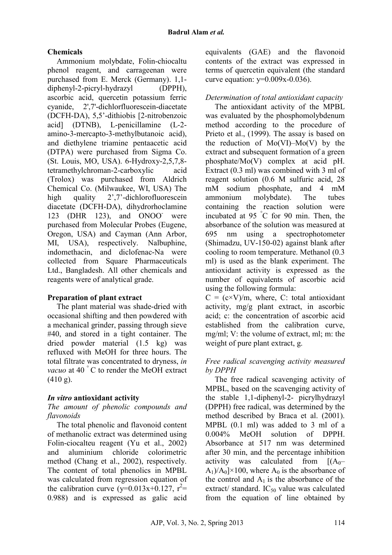# **Chemicals**

Ammonium molybdate, Folin-chiocaltu phenol reagent, and carrageenan were purchased from E. Merck (Germany). 1,1 diphenyl-2-picryl-hydrazyl (DPPH), ascorbic acid, quercetin potassium ferric cyanide, 2',7'-dichlorfluorescein-diacetate (DCFH-DA), 5,5'-dithiobis [2-nitrobenzoic acid] (DTNB), L-penicillamine (L-2 amino-3-mercapto-3-methylbutanoic acid), and diethylene triamine pentaacetic acid (DTPA) were purchased from Sigma Co. (St. Louis, MO, USA). 6-Hydroxy-2,5,7,8 tetramethylchroman-2-carboxylic acid (Trolox) was purchased from Aldrich Chemical Co. (Milwaukee, WI, USA) The high quality 2',7'-dichlorofluorescein diacetate (DCFH-DA), dihydrorhoclamine 123 (DHR 123), and ONOO were purchased from Molecular Probes (Eugene, Oregon, USA) and Cayman (Ann Arbor, MI, USA), respectively. Nalbuphine, indomethacin, and diclofenac-Na were collected from Square Pharmaceuticals Ltd., Bangladesh. All other chemicals and reagents were of analytical grade.

# **Preparation of plant extract**

The plant material was shade-dried with occasional shifting and then powdered with a mechanical grinder, passing through sieve #40, and stored in a tight container. The dried powder material (1.5 kg) was refluxed with MeOH for three hours. The total filtrate was concentrated to dryness, *in vacuo* at 40 ° C to render the MeOH extract  $(410 g)$ .

# *In vitro* **antioxidant activity**

## *The amount of phenolic compounds and flavonoids*

The total phenolic and flavonoid content of methanolic extract was determined using Folin-ciocalteu reagent (Yu et al., 2002) and aluminium chloride colorimetric method (Chang et al., 2002), respectively. The content of total phenolics in MPBL was calculated from regression equation of the calibration curve  $(y=0.013x+0.127, r^2=$ 0.988) and is expressed as galic acid

equivalents (GAE) and the flavonoid contents of the extract was expressed in terms of quercetin equivalent (the standard curve equation:  $y=0.009x-0.036$ ).

# *Determination of total antioxidant capacity*

The antioxidant activity of the MPBL was evaluated by the phosphomolybdenum method according to the procedure of Prieto et al., (1999). The assay is based on the reduction of  $Mo(VI)-Mo(V)$  by the extract and subsequent formation of a green phosphate/Mo(V) complex at acid pH. Extract (0.3 ml) was combined with 3 ml of reagent solution (0.6 M sulfuric acid, 28 mM sodium phosphate, and 4 mM ammonium molybdate). The tubes containing the reaction solution were incubated at 95 °C for 90 min. Then, the absorbance of the solution was measured at 695 nm using a spectrophotometer (Shimadzu, UV-150-02) against blank after cooling to room temperature. Methanol (0.3 ml) is used as the blank experiment. The antioxidant activity is expressed as the number of equivalents of ascorbic acid using the following formula:

 $C = (c \times V)/m$ , where, C: total antioxidant activity, mg/g plant extract, in ascorbic acid; c: the concentration of ascorbic acid established from the calibration curve, mg/ml; V: the volume of extract, ml; m: the weight of pure plant extract, g.

## *Free radical scavenging activity measured by DPPH*

The free radical scavenging activity of MPBL, based on the scavenging activity of the stable 1,1-diphenyl-2- picrylhydrazyl (DPPH) free radical, was determined by the method described by Braca et al. (2001). MPBL (0.1 ml) was added to 3 ml of a 0.004% MeOH solution of DPPH. Absorbance at 517 nm was determined after 30 min, and the percentage inhibition activity was calculated from  $[(A<sub>0</sub>–$  $A_1$ / $A_0$ ]×100, where  $A_0$  is the absorbance of the control and  $A_1$  is the absorbance of the extract/ standard.  $IC_{50}$  value was calculated from the equation of line obtained by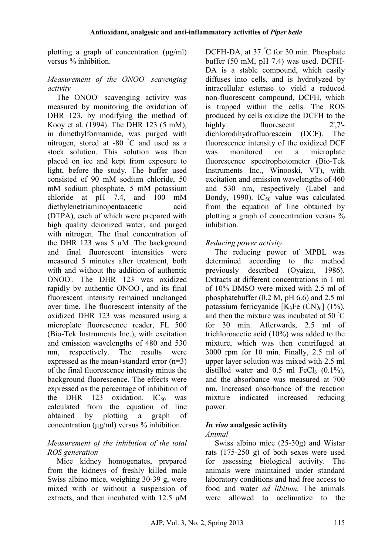plotting a graph of concentration  $(\mu g/ml)$ versus % inhibition.

## *Measurement of the ONOO- scavenging activity*

The ONOO scavenging activity was measured by monitoring the oxidation of DHR 123, by modifying the method of Kooy et al. (1994). The DHR 123 (5 mM), in dimethylformamide, was purged with nitrogen, stored at -80 °C and used as a stock solution. This solution was then placed on ice and kept from exposure to light, before the study. The buffer used consisted of 90 mM sodium chloride, 50 mM sodium phosphate, 5 mM potassium chloride at pH 7.4, and 100 mM diethylenetriaminopentaacetic acid (DTPA), each of which were prepared with high quality deionized water, and purged with nitrogen. The final concentration of the DHR 123 was 5 µM. The background and final fluorescent intensities were measured 5 minutes after treatment, both with and without the addition of authentic ONOO- . The DHR 123 was oxidized rapidly by authentic ONOO, and its final fluorescent intensity remained unchanged over time. The fluorescent intensity of the oxidized DHR 123 was measured using a microplate fluorescence reader, FL 500 (Bio-Tek Instruments Inc.), with excitation and emission wavelengths of 480 and 530 nm, respectively. The results were expressed as the mean±standard error (n=3) of the final fluorescence intensity minus the background fluorescence. The effects were expressed as the percentage of inhibition of the DHR 123 oxidation.  $IC_{50}$  was calculated from the equation of line obtained by plotting a graph of concentration (µg/ml) versus % inhibition.

## *Measurement of the inhibition of the total ROS generation*

Mice kidney homogenates, prepared from the kidneys of freshly killed male Swiss albino mice, weighing 30-39 g, were mixed with or without a suspension of extracts, and then incubated with 12.5 µM

DCFH-DA, at 37 °C for 30 min. Phosphate buffer (50 mM, pH 7.4) was used. DCFH-DA is a stable compound, which easily diffuses into cells, and is hydrolyzed by intracellular esterase to yield a reduced non-fluorescent compound, DCFH, which is trapped within the cells. The ROS produced by cells oxidize the DCFH to the highly fluorescent 2',7'dichlorodihydrofluorescein (DCF). The fluorescence intensity of the oxidized DCF was monitored on a microplate fluorescence spectrophotometer (Bio-Tek Instruments Inc., Winooski, VT), with excitation and emission wavelengths of 460 and 530 nm, respectively (Label and Bondy, 1990). IC<sub>50</sub> value was calculated from the equation of line obtained by plotting a graph of concentration versus % inhibition.

## *Reducing power activity*

The reducing power of MPBL was determined according to the method previously described (Oyaizu, 1986). Extracts at different concentrations in 1 ml of 10% DMSO were mixed with 2.5 ml of phosphatebuffer (0.2 M, pH 6.6) and 2.5 ml potassium ferricyanide  $[K_3Fe(CN)_6]$  (1%), and then the mixture was incubated at 50 °C for 30 min. Afterwards, 2.5 ml of trichloroacetic acid (10%) was added to the mixture, which was then centrifuged at 3000 rpm for 10 min. Finally, 2.5 ml of upper layer solution was mixed with 2.5 ml distilled water and  $0.5$  ml FeCl<sub>3</sub>  $(0.1\%)$ , and the absorbance was measured at 700 nm. Increased absorbance of the reaction mixture indicated increased reducing power.

# *In vivo* **analgesic activity**

#### *Animal*

Swiss albino mice (25-30g) and Wistar rats (175-250 g) of both sexes were used for assessing biological activity. The animals were maintained under standard laboratory conditions and had free access to food and water *ad libitum.* The animals were allowed to acclimatize to the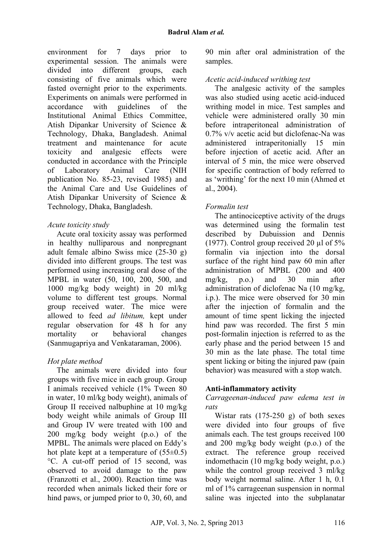environment for 7 days prior to experimental session. The animals were divided into different groups, each consisting of five animals which were fasted overnight prior to the experiments. Experiments on animals were performed in accordance with guidelines of the Institutional Animal Ethics Committee, Atish Dipankar University of Science & Technology, Dhaka, Bangladesh. Animal treatment and maintenance for acute toxicity and analgesic effects were conducted in accordance with the Principle of Laboratory Animal Care (NIH publication No. 85-23, revised 1985) and the Animal Care and Use Guidelines of Atish Dipankar University of Science & Technology, Dhaka, Bangladesh.

### *Acute toxicity study*

Acute oral toxicity assay was performed in healthy nulliparous and nonpregnant adult female albino Swiss mice (25-30 g) divided into different groups. The test was performed using increasing oral dose of the MPBL in water (50, 100, 200, 500, and 1000 mg/kg body weight) in 20 ml/kg volume to different test groups. Normal group received water. The mice were allowed to feed *ad libitum,* kept under regular observation for 48 h for any mortality or behavioral changes (Sanmugapriya and Venkataraman, 2006).

## *Hot plate method*

The animals were divided into four groups with five mice in each group. Group I animals received vehicle (1% Tween 80 in water, 10 ml/kg body weight), animals of Group II received nalbuphine at 10 mg/kg body weight while animals of Group III and Group IV were treated with 100 and 200 mg/kg body weight (p.o.) of the MPBL*.* The animals were placed on Eddy's hot plate kept at a temperature of  $(55\pm0.5)$ °C. A cut-off period of 15 second, was observed to avoid damage to the paw (Franzotti et al., 2000). Reaction time was recorded when animals licked their fore or hind paws, or jumped prior to 0, 30, 60, and

90 min after oral administration of the samples.

## *Acetic acid-induced writhing test*

The analgesic activity of the samples was also studied using acetic acid-induced writhing model in mice. Test samples and vehicle were administered orally 30 min before intraperitoneal administration of 0.7% v/v acetic acid but diclofenac-Na was administered intraperitonially 15 min before injection of acetic acid. After an interval of 5 min, the mice were observed for specific contraction of body referred to as 'writhing' for the next 10 min (Ahmed et al., 2004).

## *Formalin test*

The antinociceptive activity of the drugs was determined using the formalin test described by Dubuission and Dennis (1977). Control group received 20 µl of 5% formalin via injection into the dorsal surface of the right hind paw 60 min after administration of MPBL (200 and 400 mg/kg, p.o.) and 30 min after administration of diclofenac Na (10 mg/kg, i.p.). The mice were observed for 30 min after the injection of formalin and the amount of time spent licking the injected hind paw was recorded. The first 5 min post-formalin injection is referred to as the early phase and the period between 15 and 30 min as the late phase. The total time spent licking or biting the injured paw (pain behavior) was measured with a stop watch.

## **Anti-inflammatory activity**

*Carrageenan-induced paw edema test in rats* 

Wistar rats  $(175-250)$  g) of both sexes were divided into four groups of five animals each. The test groups received 100 and 200 mg/kg body weight (p.o.) of the extract. The reference group received indomethacin (10 mg/kg body weight, p.o.) while the control group received 3 ml/kg body weight normal saline. After 1 h, 0.1 ml of 1% carrageenan suspension in normal saline was injected into the subplanatar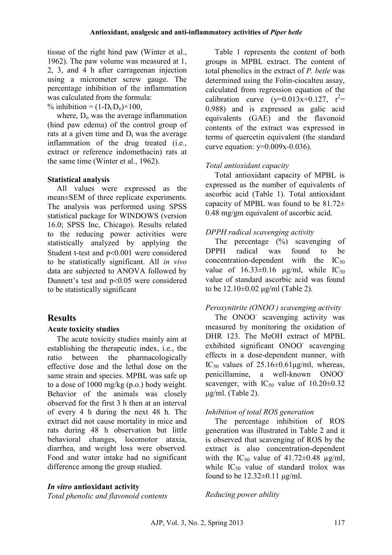tissue of the right hind paw (Winter et al., 1962). The paw volume was measured at 1, 2, 3, and 4 h after carrageenan injection using a micrometer screw gauge. The percentage inhibition of the inflammation was calculated from the formula:

% inhibition =  $(1-D_t/D_0) \times 100$ ,

where,  $D_0$  was the average inflammation (hind paw edema) of the control group of rats at a given time and  $D_t$  was the average inflammation of the drug treated (i.e., extract or reference indomethacin) rats at the same time (Winter et al., 1962).

## **Statistical analysis**

All values were expressed as the mean±SEM of three replicate experiments. The analysis was performed using SPSS statistical package for WINDOWS (version 16.0; SPSS Inc, Chicago). Results related to the reducing power activities were statistically analyzed by applying the Student t-test and p<0.001 were considered to be statistically significant. All *in vivo* data are subjected to ANOVA followed by Dunnett's test and p<0.05 were considered to be statistically significant

# **Results**

# **Acute toxicity studies**

The acute toxicity studies mainly aim at establishing the therapeutic index, i.e., the ratio between the pharmacologically effective dose and the lethal dose on the same strain and species. MPBL was safe up to a dose of 1000 mg/kg (p.o.) body weight. Behavior of the animals was closely observed for the first 3 h then at an interval of every 4 h during the next 48 h. The extract did not cause mortality in mice and rats during 48 h observation but little behavioral changes, locomotor ataxia, diarrhea, and weight loss were observed. Food and water intake had no significant difference among the group studied.

# *In vitro* **antioxidant activity**

*Total phenolic and flavonoid contents* 

Table 1 represents the content of both groups in MPBL extract. The content of total phenolics in the extract of *P. betle* was determined using the Folin-ciocalteu assay, calculated from regression equation of the calibration curve  $(y=0.013x+0.127, r^2=$ 0.988) and is expressed as galic acid equivalents (GAE) and the flavonoid contents of the extract was expressed in terms of quercetin equivalent (the standard curve equation:  $y=0.009x-0.036$ ).

# *Total antioxidant capacity*

Total antioxidant capacity of MPBL is expressed as the number of equivalents of ascorbic acid (Table 1). Total antioxidant capacity of MPBL was found to be  $81.72\pm$ 0.48 mg/gm equivalent of ascorbic acid.

# *DPPH radical scavenging activity*

The percentage  $(\%)$  scavenging of DPPH radical was found to be concentration-dependent with the  $IC_{50}$ value of  $16.33\pm0.16$  µg/ml, while  $IC_{50}$ value of standard ascorbic acid was found to be 12.10±0.02 µg/ml (Table 2).

# *Peroxynitrite (ONOO- ) scavenging activity*

The ONOO scavenging activity was measured by monitoring the oxidation of DHR 123. The MeOH extract of MPBL exhibited significant ONOO scavenging effects in a dose-dependent manner, with IC<sub>50</sub> values of  $25.16\pm0.61\mu\text{g/ml}$ , whereas, penicillamine, a well-known ONOOscavenger, with  $IC_{50}$  value of  $10.20\pm0.32$  $\mu$ g/ml. (Table 2).

# *Inhibition of total ROS generation*

The percentage inhibition of ROS generation was illustrated in Table 2 and it is observed that scavenging of ROS by the extract is also concentration-dependent with the  $IC_{50}$  value of 41.72 $\pm$ 0.48  $\mu$ g/ml, while  $IC_{50}$  value of standard trolox was found to be  $12.32\pm0.11$   $\mu$ g/ml.

# *Reducing power ability*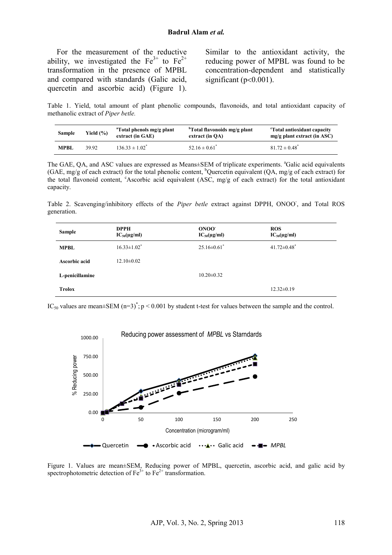For the measurement of the reductive ability, we investigated the  $Fe^{3+}$  to  $Fe^{2+}$ transformation in the presence of MPBL and compared with standards (Galic acid, quercetin and ascorbic acid) (Figure 1). Similar to the antioxidant activity, the reducing power of MPBL was found to be concentration-dependent and statistically significant ( $p<0.001$ ).

Table 1. Yield, total amount of plant phenolic compounds, flavonoids, and total antioxidant capacity of methanolic extract of *Piper betle.*

| Sample      | Yield $(\% )$ | <sup>a</sup> Total phenols mg/g plant<br>extract (in GAE) | <sup>b</sup> Total flavonoids mg/g plant<br>extract (in OA) | "Total antioxidant capacity"<br>$mg/g$ plant extract (in ASC) |
|-------------|---------------|-----------------------------------------------------------|-------------------------------------------------------------|---------------------------------------------------------------|
| <b>MPBL</b> | 39.92         | $136.33 \pm 1.02^*$                                       | $52.16 \pm 0.61^*$                                          | $81.72 \pm 0.48^*$                                            |

The GAE, QA, and ASC values are expressed as Means±SEM of triplicate experiments. <sup>a</sup>Galic acid equivalents (GAE, mg/g of each extract) for the total phenolic content, <sup>b</sup>Quercetin equivalent (QA, mg/g of each extract) for the total flavonoid content,  $c$ Ascorbic acid equivalent (ASC, mg/g of each extract) for the total antioxidant capacity.

Table 2. Scavenging/inhibitory effects of the Piper betle extract against DPPH, ONOO<sup>-</sup>, and Total ROS generation.

| <b>Sample</b>   | <b>DPPH</b><br>$IC_{50}(\mu g/ml)$ | ONOO <sup>-</sup><br>$IC_{50}(\mu g/ml)$ | <b>ROS</b><br>$IC_{50}(\mu\text{g/ml})$ |
|-----------------|------------------------------------|------------------------------------------|-----------------------------------------|
| <b>MPBL</b>     | $16.33 \pm 1.02^*$                 | $25.16 \pm 0.61$ <sup>*</sup>            | $41.72 \pm 0.48$ <sup>*</sup>           |
| Ascorbic acid   | $12.10\pm0.02$                     |                                          |                                         |
| L-penicillamine |                                    | $10.20 \pm 0.32$                         |                                         |
| <b>Trolox</b>   |                                    |                                          | $12.32 \pm 0.19$                        |

IC<sub>50</sub> values are mean $\pm$ SEM (n=3)<sup>\*</sup>; p < 0.001 by student t-test for values between the sample and the control.



Figure 1. Values are mean±SEM, Reducing power of MPBL, quercetin, ascorbic acid, and galic acid by spectrophotometric detection of  $Fe^{3+}$  to  $Fe^{2+}$  transformation.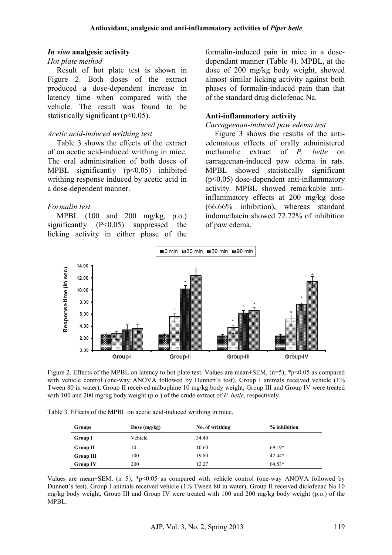#### *In vivo* **analgesic activity**

### *Hot plate method*

Result of hot plate test is shown in Figure 2. Both doses of the extract produced a dose-dependent increase in latency time when compared with the vehicle. The result was found to be statistically significant  $(p<0.05)$ .

#### *Acetic acid-induced writhing test*

Table 3 shows the effects of the extract of on acetic acid-induced writhing in mice. The oral administration of both doses of MPBL significantly (p<0.05) inhibited writhing response induced by acetic acid in a dose-dependent manner.

### *Formalin test*

MPBL (100 and 200 mg/kg, p.o.) significantly (P<0.05) suppressed the licking activity in either phase of the formalin-induced pain in mice in a dosedependant manner (Table 4). MPBL, at the dose of 200 mg/kg body weight, showed almost similar licking activity against both phases of formalin-induced pain than that of the standard drug diclofenac Na.

### **Anti-inflammatory activity**

#### *Carrageenan-induced paw edema test*

Figure 3 shows the results of the antiedematous effects of orally administered methanolic extract of *P. betle* on carrageenan-induced paw edema in rats. MPBL showed statistically significant (p<0.05) dose-dependent anti-inflammatory activity. MPBL showed remarkable antiinflammatory effects at 200 mg/kg dose (66.66% inhibition), whereas standard indomethacin showed 72.72% of inhibition of paw edema.



Figure 2. Effects of the MPBL on latency to hot plate test. Values are mean $\pm$ SEM, (n=5); \*p<0.05 as compared with vehicle control (one-way ANOVA followed by Dunnett's test). Group I animals received vehicle (1%) Tween 80 in water), Group II received nalbuphine 10 mg/kg body weight, Group III and Group IV were treated with 100 and 200 mg/kg body weight (p.o.) of the crude extract of *P. betle*, respectively*.*

Table 3. Effects of the MPBL on acetic acid-induced writhing in mice.

| Groups           | Dose $(mg/kg)$ | No. of writhing | $%$ inhibition |
|------------------|----------------|-----------------|----------------|
| <b>Group I</b>   | Vehicle        | 34.40           |                |
| <b>Group II</b>  | 10             | 10.60           | $69.19*$       |
| <b>Group III</b> | 100            | 19.80           | $42.44*$       |
| <b>Group IV</b>  | 200            | 12.27           | $64.53*$       |

Values are mean $\pm$ SEM, (n=5); \*p<0.05 as compared with vehicle control (one-way ANOVA followed by Dunnett's test). Group I animals received vehicle (1% Tween 80 in water), Group II received diclofenac Na 10 mg/kg body weight, Group III and Group IV were treated with 100 and 200 mg/kg body weight (p.o.) of the MPBL.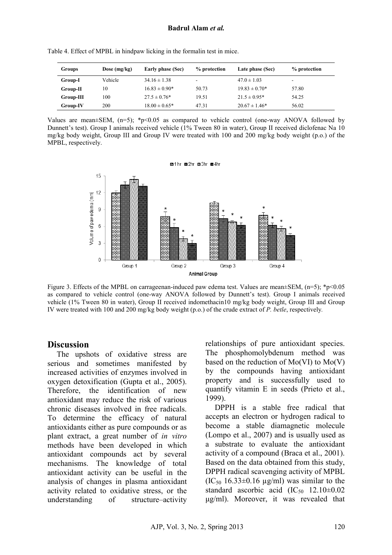| Groups    | Dose $(mg/kg)$ | Early phase (Sec) | % protection | Late phase (Sec)  | % protection             |
|-----------|----------------|-------------------|--------------|-------------------|--------------------------|
| Group-I   | Vehicle        | $34.16 \pm 1.38$  |              | $47.0 \pm 1.03$   | $\overline{\phantom{0}}$ |
| Group-II  | 10             | $16.83 \pm 0.90*$ | 50.73        | $19.83 \pm 0.70*$ | 57.80                    |
| Group-III | 100            | $27.5 \pm 0.76*$  | 19.51        | $21.5 \pm 0.95*$  | 54.25                    |
| Group-IV  | 200            | $18.00 \pm 0.65*$ | 47.31        | $20.67 \pm 1.46*$ | 56.02                    |

Table 4. Effect of MPBL in hindpaw licking in the formalin test in mice.

Values are mean $\pm$ SEM, (n=5); \*p<0.05 as compared to vehicle control (one-way ANOVA followed by Dunnett's test). Group I animals received vehicle (1% Tween 80 in water), Group II received diclofenac Na 10 mg/kg body weight, Group III and Group IV were treated with 100 and 200 mg/kg body weight (p.o.) of the MPBL, respectively.



Figure 3. Effects of the MPBL on carrageenan-induced paw edema test. Values are mean $\pm$ SEM, (n=5); \*p<0.05 as compared to vehicle control (one-way ANOVA followed by Dunnett's test). Group I animals received vehicle (1% Tween 80 in water), Group II received indomethacin10 mg/kg body weight, Group III and Group IV were treated with 100 and 200 mg/kg body weight (p.o.) of the crude extract of *P. betle*, respectively*.*

# **Discussion**

The upshots of oxidative stress are serious and sometimes manifested by increased activities of enzymes involved in oxygen detoxification (Gupta et al., 2005). Therefore, the identification of new antioxidant may reduce the risk of various chronic diseases involved in free radicals. To determine the efficacy of natural antioxidants either as pure compounds or as plant extract, a great number of *in vitro* methods have been developed in which antioxidant compounds act by several mechanisms. The knowledge of total antioxidant activity can be useful in the analysis of changes in plasma antioxidant activity related to oxidative stress, or the understanding of structure–activity relationships of pure antioxidant species. The phosphomolybdenum method was based on the reduction of  $Mo(VI)$  to  $Mo(V)$ by the compounds having antioxidant property and is successfully used to quantify vitamin E in seeds (Prieto et al., 1999).

DPPH is a stable free radical that accepts an electron or hydrogen radical to become a stable diamagnetic molecule (Lompo et al., 2007) and is usually used as a substrate to evaluate the antioxidant activity of a compound (Braca et al., 2001). Based on the data obtained from this study, DPPH radical scavenging activity of MPBL  $(IC_{50} 16.33 \pm 0.16 \text{ µg/ml})$  was similar to the standard ascorbic acid  $(IC_{50} 12.10 \pm 0.02)$ µg/ml). Moreover, it was revealed that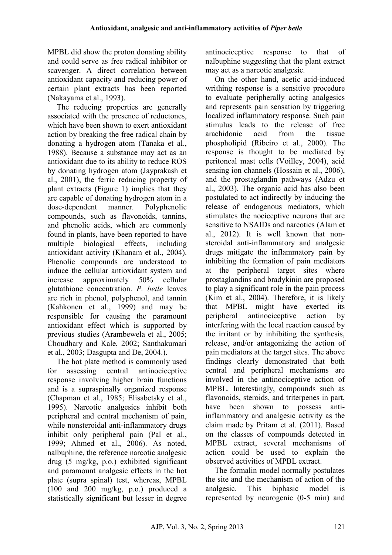MPBL did show the proton donating ability and could serve as free radical inhibitor or scavenger. A direct correlation between antioxidant capacity and reducing power of certain plant extracts has been reported (Nakayama et al., 1993).

The reducing properties are generally associated with the presence of reductones, which have been shown to exert antioxidant action by breaking the free radical chain by donating a hydrogen atom (Tanaka et al., 1988). Because a substance may act as an antioxidant due to its ability to reduce ROS by donating hydrogen atom (Jayprakash et al., 2001), the ferric reducing property of plant extracts (Figure 1) implies that they are capable of donating hydrogen atom in a dose-dependent manner. Polyphenolic compounds, such as flavonoids, tannins, and phenolic acids, which are commonly found in plants, have been reported to have multiple biological effects, including antioxidant activity (Khanam et al., 2004). Phenolic compounds are understood to induce the cellular antioxidant system and increase approximately 50% cellular glutathione concentration. *P. betle* leaves are rich in phenol, polyphenol, and tannin (Kahkonen et al., 1999) and may be responsible for causing the paramount antioxidant effect which is supported by previous studies (Arambewela et al., 2005; Choudhary and Kale, 2002; Santhakumari et al., 2003; Dasgupta and De, 2004.).

The hot plate method is commonly used for assessing central antinociceptive response involving higher brain functions and is a supraspinally organized response (Chapman et al., 1985; Elisabetsky et al., 1995). Narcotic analgesics inhibit both peripheral and central mechanism of pain, while nonsteroidal anti-inflammatory drugs inhibit only peripheral pain (Pal et al., 1999; Ahmed et al., 2006). As noted, nalbuphine, the reference narcotic analgesic drug (5 mg/kg, p.o.) exhibited significant and paramount analgesic effects in the hot plate (supra spinal) test, whereas, MPBL (100 and 200 mg/kg, p.o.) produced a statistically significant but lesser in degree antinociceptive response to that of nalbuphine suggesting that the plant extract may act as a narcotic analgesic.

On the other hand, acetic acid-induced writhing response is a sensitive procedure to evaluate peripherally acting analgesics and represents pain sensation by triggering localized inflammatory response. Such pain stimulus leads to the release of free arachidonic acid from the tissue phospholipid (Ribeiro et al., 2000). The response is thought to be mediated by peritoneal mast cells (Voilley, 2004), acid sensing ion channels (Hossain et al., 2006), and the prostaglandin pathways (Adzu et al., 2003). The organic acid has also been postulated to act indirectly by inducing the release of endogenous mediators, which stimulates the nociceptive neurons that are sensitive to NSAIDs and narcotics (Alam et al., 2012). It is well known that nonsteroidal anti-inflammatory and analgesic drugs mitigate the inflammatory pain by inhibiting the formation of pain mediators at the peripheral target sites where prostaglandins and bradykinin are proposed to play a significant role in the pain process (Kim et al., 2004). Therefore, it is likely that MPBL might have exerted its peripheral antinociceptive action by interfering with the local reaction caused by the irritant or by inhibiting the synthesis, release, and/or antagonizing the action of pain mediators at the target sites. The above findings clearly demonstrated that both central and peripheral mechanisms are involved in the antinociceptive action of MPBL. Interestingly, compounds such as flavonoids, steroids, and triterpenes in part, have been shown to possess antiinflammatory and analgesic activity as the claim made by Pritam et al. (2011). Based on the classes of compounds detected in MPBL extract, several mechanisms of action could be used to explain the observed activities of MPBL extract.

The formalin model normally postulates the site and the mechanism of action of the analgesic. This biphasic model is represented by neurogenic (0-5 min) and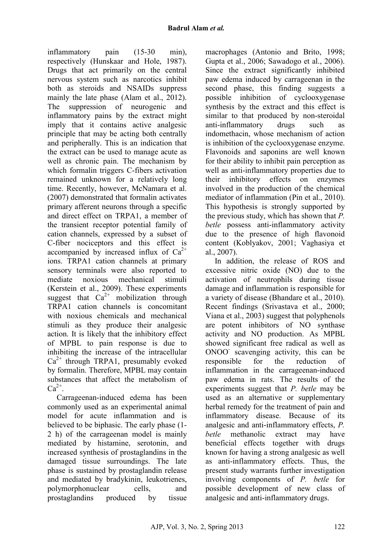inflammatory pain (15-30 min), respectively (Hunskaar and Hole, 1987). Drugs that act primarily on the central nervous system such as narcotics inhibit both as steroids and NSAIDs suppress mainly the late phase (Alam et al., 2012). The suppression of neurogenic and inflammatory pains by the extract might imply that it contains active analgesic principle that may be acting both centrally and peripherally. This is an indication that the extract can be used to manage acute as well as chronic pain. The mechanism by which formalin triggers C-fibers activation remained unknown for a relatively long time. Recently, however, McNamara et al. (2007) demonstrated that formalin activates primary afferent neurons through a specific and direct effect on TRPA1, a member of the transient receptor potential family of cation channels, expressed by a subset of C-fiber nociceptors and this effect is accompanied by increased influx of  $Ca^{2+}$ ions. TRPA1 cation channels at primary sensory terminals were also reported to mediate noxious mechanical stimuli (Kerstein et al., 2009). These experiments suggest that  $Ca^{2+}$  mobilization through TRPA1 cation channels is concomitant with noxious chemicals and mechanical stimuli as they produce their analgesic action. It is likely that the inhibitory effect of MPBL to pain response is due to inhibiting the increase of the intracellular  $Ca<sup>2+</sup>$  through TRPA1, presumably evoked by formalin. Therefore, MPBL may contain substances that affect the metabolism of  $Ca^{2+}$ .

Carrageenan-induced edema has been commonly used as an experimental animal model for acute inflammation and is believed to be biphasic. The early phase (1- 2 h) of the carrageenan model is mainly mediated by histamine, serotonin, and increased synthesis of prostaglandins in the damaged tissue surroundings. The late phase is sustained by prostaglandin release and mediated by bradykinin, leukotrienes, polymorphonuclear cells, and prostaglandins produced by tissue macrophages (Antonio and Brito, 1998; Gupta et al., 2006; Sawadogo et al., 2006). Since the extract significantly inhibited paw edema induced by carrageenan in the second phase, this finding suggests a possible inhibition of cyclooxygenase synthesis by the extract and this effect is similar to that produced by non-steroidal anti-inflammatory drugs such as indomethacin, whose mechanism of action is inhibition of the cyclooxygenase enzyme. Flavonoids and saponins are well known for their ability to inhibit pain perception as well as anti-inflammatory properties due to their inhibitory effects on enzymes involved in the production of the chemical mediator of inflammation (Pin et al., 2010). This hypothesis is strongly supported by the previous study, which has shown that *P. betle* possess anti-inflammatory activity due to the presence of high flavonoid content (Koblyakov, 2001; Vaghasiya et al., 2007).

In addition, the release of ROS and excessive nitric oxide (NO) due to the activation of neutrophils during tissue damage and inflammation is responsible for a variety of disease (Bhandare et al., 2010). Recent findings (Srivastava et al., 2000; Viana et al., 2003) suggest that polyphenols are potent inhibitors of NO synthase activity and NO production. As MPBL showed significant free radical as well as ONOO<sup>-</sup> scavenging activity, this can be responsible for the reduction of inflammation in the carrageenan-induced paw edema in rats. The results of the experiments suggest that *P. betle* may be used as an alternative or supplementary herbal remedy for the treatment of pain and inflammatory disease. Because of its analgesic and anti-inflammatory effects, *P. betle* methanolic extract may have beneficial effects together with drugs known for having a strong analgesic as well as anti-inflammatory effects. Thus, the present study warrants further investigation involving components of *P. betle* for possible development of new class of analgesic and anti-inflammatory drugs.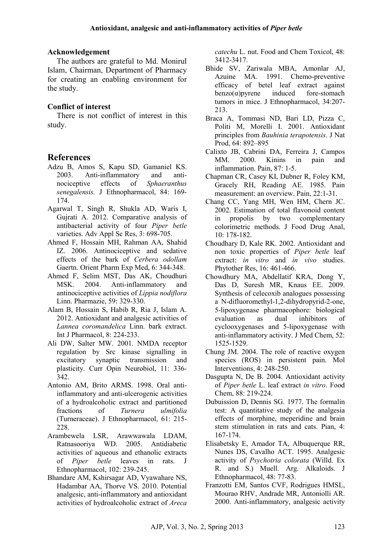### **Acknowledgement**

The authors are grateful to Md. Monirul Islam, Chairman, Department of Pharmacy for creating an enabling environment for the study.

## **Conflict of interest**

There is not conflict of interest in this study.

# **References**

- Adzu B, Amos S, Kapu SD, Gamaniel KS. 2003. Anti-inflammatory and antinociceptive effects of *Sphaeranthus senegalensis.* J Ethnopharmacol, 84: 169- 174.
- Agarwal T, Singh R, Shukla AD, Waris I, Gujrati A. 2012. Comparative analysis of antibacterial activity of four *Piper betle* varieties. Adv Appl Sc Res, 3: 698-705.
- Ahmed F, Hossain MH, Rahman AA, Shahid IZ. 2006. Antinociceptive and sedative effects of the bark of *Cerbera odollam* Gaertn. Orient Pharm Exp Med, 6: 344-348.
- Ahmed F, Selim MST, Das AK, Choudhuri MSK. 2004. Anti-inflammatory and antinociceptive activities of *Lippia nodiflora* Linn. Pharmazie, 59: 329-330.
- Alam B, Hossain S, Habib R, Ria J, Islam A. 2012. Antioxidant and analgesic activities of *Lannea coromandelica* Linn. bark extract. Int J Pharmacol, 8: 224-233.
- Ali DW, Salter MW. 2001. NMDA receptor regulation by Src kinase signalling in excitatory synaptic transmission and plasticity. Curr Opin Neurobiol, 11: 336*-* 342.
- Antonio AM, Brito ARMS. 1998. Oral antiinflammatory and anti-ulcerogenic activities of a hydroalcoholic extract and partitioned fractions of *Turnera ulmifolia* (Turneraceae). J Ethnopharmacol, 61: 215- 228.
- Arambewela LSR, Arawwawala LDAM, Ratnasooriya WD. 2005. Antidiabetic activities of aqueous and ethanolic extracts of *Piper betle* leaves in rats. J Ethnopharmacol, 102: 239-245.
- Bhandare AM, Kshirsagar AD, Vyawahare NS, Hadambar AA, Thorve VS. 2010. Potential analgesic, anti-inflammatory and antioxidant activities of hydroalcoholic extract of *Areca*

*catechu* L. nut. Food and Chem Toxicol, 48: 3412-3417.

- Bhide SV, Zariwala MBA, Amonlar AJ, Azuine MA. 1991. Chemo-preventive efficacy of betel leaf extract against  $benzo(\alpha)$ pyrene induced fore-stomach tumors in mice. J Ethnopharmacol, 34:207- 213.
- Braca A, Tommasi ND, Bari LD, Pizza C, Politi M, Morelli I. 2001. Antioxidant principles from *Bauhinia terapotensis*. J Nat Prod, 64: 892–895
- Calixto JB, Cabrini DA, Ferreira J, Campos MM. 2000. Kinins in pain and inflammation. Pain, 87: 1-5.
- Chapman CR, Casey KI, Dubner R, Foley KM, Gracely RH, Reading AE. 1985. Pain measurement: an overview. Pain, 22:1-31.
- Chang CC, Yang MH, Wen HM, Chern JC. 2002. Estimation of total flavonoid content in propolis by two complementary colorimetric methods. J Food Drug Anal, 10: 178-182.
- Choudhary D, Kale RK. 2002. Antioxidant and non toxic properties of *Piper betle* leaf extract: *in vitro* and *in vivo* studies. Phytother Res, 16: 461-466.
- Chowdhury MA, Abdellatif KRA, Dong Y, Das D, Suresh MR, Knaus EE. 2009. Synthesis of celecoxib analogues possessing a N-difluoromethyl-1,2-dihydropyrid-2-one, 5-lipoxygenase pharmacophore: biological evaluation as dual inhibitors of cyclooxygenases and 5-lipoxygenase with anti-inflammatory activity. J Med Chem, 52: 1525-1529.
- Chung JM. 2004. The role of reactive oxygen species (ROS) in persistent pain. Mol Interventions, 4: 248-250.
- Dasgupta N, De B. 2004. Antioxidant activity of *Piper betle* L. leaf extract *in vitro*. Food Chem, 88: 219-224.
- Dubuission D, Dennis SG. 1977. The formalin test: A quantitative study of the analgesia effects of morphine, meperidine and brain stem stimulation in rats and cats. Pian, 4: 167-174.
- Elisabetsky E, Amador TA, Albuquerque RR, Nunes DS, Cavalho ACT. 1995. Analgesic activity of *Psychotria colorata* (Willd. Ex R. and S.) Muell. Arg. Alkaloids. J Ethnopharmacol, 48: 77-83.
- Franzotti EM, Santos CVF, Rodrigues HMSL, Mourao RHV, Andrade MR, Antoniolli AR. 2000. Anti-inflammatory, analgesic activity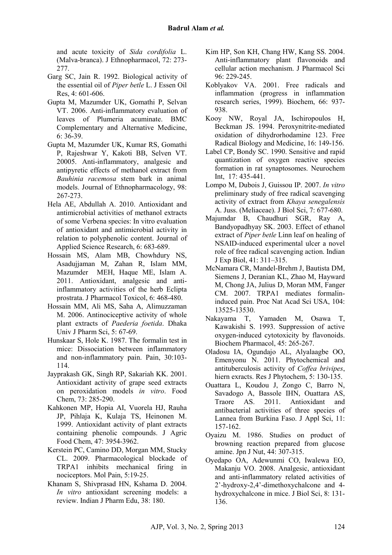and acute toxicity of *Sida cordifolia* L. (Malva-branca). J Ethnopharmacol, 72: 273- 277.

- Garg SC, Jain R. 1992. Biological activity of the essential oil of *Piper betle* L. J Essen Oil Res, 4: 601-606.
- Gupta M, Mazumder UK, Gomathi P, Selvan VT. 2006. Anti-inflammatory evaluation of leaves of Plumeria acuminate. BMC Complementary and Alternative Medicine, 6: 36-39.
- Gupta M, Mazumder UK, Kumar RS, Gomathi P, Rajeshwar Y, Kakoti BB, Selven VT. 20005. Anti-inflammatory, analgesic and antipyretic effects of methanol extract from *Bauhinia racemosa* stem bark in animal models. Journal of Ethnopharmacology, 98: 267-273.
- Hela AE, Abdullah A. 2010. Antioxidant and antimicrobial activities of methanol extracts of some Verbena species: In vitro evaluation of antioxidant and antimicrobial activity in relation to polyphenolic content. Journal of Applied Science Research, 6: 683-689.
- Hossain MS, Alam MB, Chowhdury NS, Asadujjaman M, Zahan R, Islam MM, Mazumder MEH, Haque ME, Islam A. 2011. Antioxidant, analgesic and antiinflammatory activities of the herb Eclipta prostrata. J Pharmacol Toxicol, 6: 468-480.
- Hossain MM, Ali MS, Saha A, Alimuzzaman M. 2006. Antinociceptive activity of whole plant extracts of *Paederia foetida*. Dhaka Univ J Pharm Sci, 5: 67-69.
- Hunskaar S, Hole K. 1987. The formalin test in mice: Dissociation between inflammatory and non-inflammatory pain. Pain, 30:103- 114.
- Jayprakash GK, Singh RP, Sakariah KK. 2001. Antioxidant activity of grape seed extracts on peroxidation models *in vitro*. Food Chem, 73: 285-290.
- Kahkonen MP, Hopia AI, Vuorela HJ, Rauha JP, Pihlaja K, Kulaja TS, Heinonen M. 1999. Antioxidant activity of plant extracts containing phenolic compounds. J Agric Food Chem, 47: 3954-3962.
- Kerstein PC, Camino DD, Morgan MM, Stucky CL. 2009. Pharmacological blockade of TRPA1 inhibits mechanical firing in nociceptors. Mol Pain, 5:19-25.
- Khanam S, Shivprasad HN, Kshama D. 2004. *In vitro* antioxidant screening models: a review. Indian J Pharm Edu, 38: 180.
- Kim HP, Son KH, Chang HW, Kang SS. 2004. Anti-inflammatory plant flavonoids and cellular action mechanism. J Pharmacol Sci 96: 229-245.
- Koblyakov VA. 2001. Free radicals and inflammation (progress in inflammation research series, 1999). Biochem, 66: 937- 938.
- Kooy NW, Royal JA, Ischiropoulos H, Beckman JS. 1994. Peroxynitrite-mediated oxidation of dihydrorhodamine 123. Free Radical Biology and Medicine, 16: 149-156.
- Label CP, Bondy SC. 1990. Sensitive and rapid quantization of oxygen reactive species formation in rat synaptosomes. Neurochem Int, 17: 435-441.
- Lompo M, Dubois J, Guissou IP. 2007. *In vitro* preliminary study of free radical scavenging activity of extract from *Khaya senegalensis* A. Juss. (Meliaceae). J Biol Sci, 7: 677-680.
- Majumdar B, Chaudhuri SGR, Ray A, Bandyopadhyay SK. 2003. Effect of ethanol extract of *Piper betle* Linn leaf on healing of NSAID-induced experimental ulcer a novel role of free radical scavenging action. Indian J Exp Biol, 41: 311–315.
- McNamara CR, Mandel-Brehm J, Bautista DM, Siemens J, Deranian KL, Zhao M, Hayward M, Chong JA, Julius D, Moran MM, Fanger CM. 2007. TRPA1 mediates formalininduced pain. Proc Nat Acad Sci USA, 104: 13525-13530.
- Nakayama T, Yamaden M, Osawa T, Kawakishi S. 1993. Suppression of active oxygen-induced cytotoxicity by flavonoids. Biochem Pharmacol, 45: 265-267.
- Oladosu IA, Ogundajo AL, Alyalaagbe OO, Emenyonu N. 2011. Phytochemical and antituberculosis activity of *Coffea brivipes*, hiern exracts. Res J Phytochem, 5: 130-135.
- Ouattara L, Koudou J, Zongo C, Barro N, Savadogo A, Bassole IHN, Ouattara AS,<br>Traore AS. 2011. Antioxidant and Traore AS. 2011. Antioxidant and antibacterial activities of three species of Lannea from Burkina Faso. J Appl Sci, 11: 157-162.
- Oyaizu M. 1986. Studies on product of browning reaction prepared from glucose amine. Jpn J Nut, 44: 307-315.
- Oyedapo OA, Adewunmi CO, Iwalewa EO, Makanju VO. 2008. Analgesic, antioxidant and anti-inflammatory related activities of 2'-hydroxy-2,4'-dimethoxychalcone and 4 hydroxychalcone in mice. J Biol Sci, 8: 131- 136.